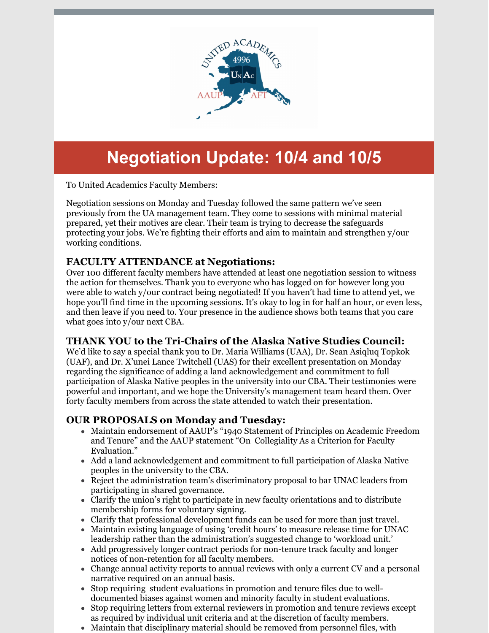

# **Negotiation Update: 10/4 and 10/5**

To United Academics Faculty Members:

Negotiation sessions on Monday and Tuesday followed the same pattern we've seen previously from the UA management team. They come to sessions with minimal material prepared, yet their motives are clear. Their team is trying to decrease the safeguards protecting your jobs. We're fighting their efforts and aim to maintain and strengthen y/our working conditions.

## **FACULTY ATTENDANCE at Negotiations:**

Over 100 different faculty members have attended at least one negotiation session to witness the action for themselves. Thank you to everyone who has logged on for however long you were able to watch y/our contract being negotiated! If you haven't had time to attend yet, we hope you'll find time in the upcoming sessions. It's okay to log in for half an hour, or even less, and then leave if you need to. Your presence in the audience shows both teams that you care what goes into y/our next CBA.

## **THANK YOU to the Tri-Chairs of the Alaska Native Studies Council:**

We'd like to say a special thank you to Dr. Maria Williams (UAA), Dr. Sean Asiqluq Topkok (UAF), and Dr. X'unei Lance Twitchell (UAS) for their excellent presentation on Monday regarding the significance of adding a land acknowledgement and commitment to full participation of Alaska Native peoples in the university into our CBA. Their testimonies were powerful and important, and we hope the University's management team heard them. Over forty faculty members from across the state attended to watch their presentation.

## **OUR PROPOSALS on Monday and Tuesday:**

- Maintain endorsement of AAUP's "1940 Statement of Principles on Academic Freedom and Tenure" and the AAUP statement "On Collegiality As a Criterion for Faculty Evaluation."
- Add a land acknowledgement and commitment to full participation of Alaska Native peoples in the university to the CBA.
- Reject the administration team's discriminatory proposal to bar UNAC leaders from participating in shared governance.
- Clarify the union's right to participate in new faculty orientations and to distribute membership forms for voluntary signing.
- Clarify that professional development funds can be used for more than just travel.
- Maintain existing language of using 'credit hours' to measure release time for UNAC leadership rather than the administration's suggested change to 'workload unit.'
- Add progressively longer contract periods for non-tenure track faculty and longer notices of non-retention for all faculty members.
- Change annual activity reports to annual reviews with only a current CV and a personal narrative required on an annual basis.
- Stop requiring student evaluations in promotion and tenure files due to welldocumented biases against women and minority faculty in student evaluations.
- Stop requiring letters from external reviewers in promotion and tenure reviews except  $\bullet$ as required by individual unit criteria and at the discretion of faculty members.
- Maintain that disciplinary material should be removed from personnel files, with
-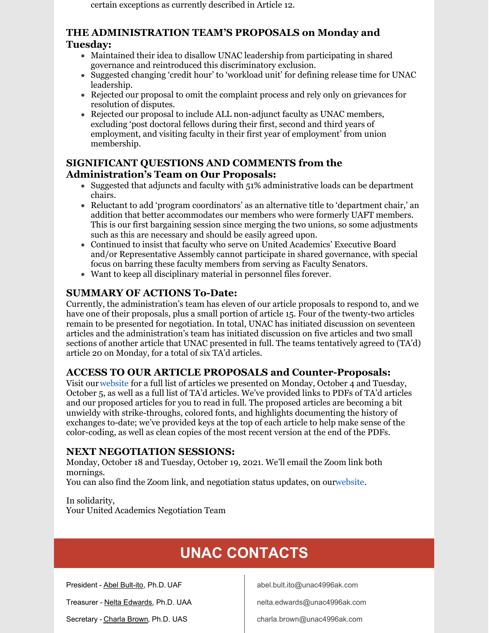certain exceptions as currently described in Article 12.

#### **THE ADMINISTRATION TEAM'S PROPOSALS on Monday and Tuesday:**

- Maintained their idea to disallow UNAC leadership from participating in shared governance and reintroduced this discriminatory exclusion.
- Suggested changing 'credit hour' to 'workload unit' for defining release time for UNAC leadership.
- Rejected our proposal to omit the complaint process and rely only on grievances for resolution of disputes.
- Rejected our proposal to include ALL non-adjunct faculty as UNAC members, excluding 'post doctoral fellows during their first, second and third years of employment, and visiting faculty in their first year of employment' from union membership.

## **SIGNIFICANT QUESTIONS AND COMMENTS from the Administration's Team on Our Proposals:**

- Suggested that adjuncts and faculty with  $51\%$  administrative loads can be department chairs.
- Reluctant to add 'program coordinators' as an alternative title to 'department chair,' an addition that better accommodates our members who were formerly UAFT members. This is our first bargaining session since merging the two unions, so some adjustments such as this are necessary and should be easily agreed upon.
- Continued to insist that faculty who serve on United Academics' Executive Board and/or Representative Assembly cannot participate in shared governance, with special focus on barring these faculty members from serving as Faculty Senators.
- Want to keep all disciplinary material in personnel files forever.

## **SUMMARY OF ACTIONS To-Date:**

Currently, the administration's team has eleven of our article proposals to respond to, and we have one of their proposals, plus a small portion of article 15. Four of the twenty-two articles remain to be presented for negotiation. In total, UNAC has initiated discussion on seventeen articles and the administration's team has initiated discussion on five articles and two small sections of another article that UNAC presented in full. The teams tentatively agreed to (TA'd) article 20 on Monday, for a total of six TA'd articles.

## **ACCESS TO OUR ARTICLE PROPOSALS and Counter-Proposals:**

Visit our[website](http://unitedacademics.net/forms-and-docs/) for a full list of articles we presented on Monday, October 4 and Tuesday, October 5, as well as a full list of TA'd articles. We've provided links to PDFs of TA'd articles and our proposed articles for you to read in full. The proposed articles are becoming a bit unwieldy with strike-throughs, colored fonts, and highlights documenting the history of exchanges to-date; we've provided keys at the top of each article to help make sense of the color-coding, as well as clean copies of the most recent version at the end of the PDFs.

#### **NEXT NEGOTIATION SESSIONS:**

Monday, October 18 and Tuesday, October 19, 2021. We'll email the Zoom link both mornings.

You can also find the Zoom link, and negotiation status updates, on ou[rwebsite](http://unitedacademics.net/forms-and-docs/).

In solidarity, Your United Academics Negotiation Team

# **UNAC CONTACTS**

President - Abel [Bult-ito,](mailto:abultito@alaska.edu) Ph.D. UAF

Treasurer - Nelta [Edwards](mailto:nelta.edwards@alaska.edu), Ph.D. UAA

Secretary - [Charla](mailto:charla.brown@alaska.edu) Brown, Ph.D. UAS

abel.bult.ito@unac4996ak.com

nelta.edwards@unac4996ak.com

charla.brown@unac4996ak.com